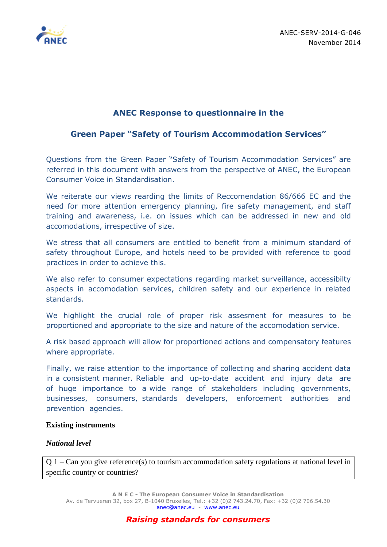

# **ANEC Response to questionnaire in the**

# **Green Paper "Safety of Tourism Accommodation Services"**

Questions from the Green Paper "Safety of Tourism Accommodation Services" are referred in this document with answers from the perspective of ANEC, the European Consumer Voice in Standardisation.

We reiterate our views rearding the limits of Reccomendation 86/666 EC and the need for more attention emergency planning, fire safety management, and staff training and awareness, i.e. on issues which can be addressed in new and old accomodations, irrespective of size.

We stress that all consumers are entitled to benefit from a minimum standard of safety throughout Europe, and hotels need to be provided with reference to good practices in order to achieve this.

We also refer to consumer expectations regarding market surveillance, accessibilty aspects in accomodation services, children safety and our experience in related standards.

We highlight the crucial role of proper risk assesment for measures to be proportioned and appropriate to the size and nature of the accomodation service.

A risk based approach will allow for proportioned actions and compensatory features where appropriate.

Finally, we raise attention to the importance of collecting and sharing accident data in a consistent manner. Reliable and up-to-date accident and injury data are of huge importance to a wide range of stakeholders including governments, businesses, consumers, standards developers, enforcement authorities and prevention agencies.

### **Existing instruments**

### *National level*

Q 1 – Can you give reference(s) to tourism accommodation safety regulations at national level in specific country or countries?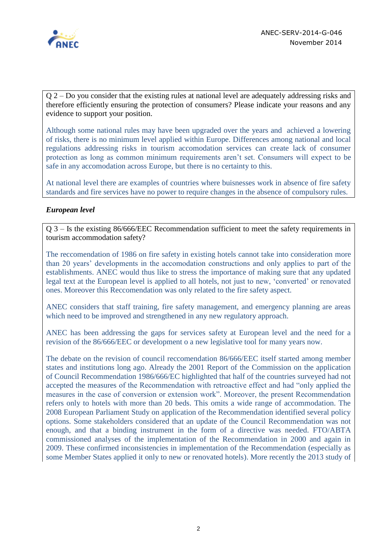

Q 2 – Do you consider that the existing rules at national level are adequately addressing risks and therefore efficiently ensuring the protection of consumers? Please indicate your reasons and any evidence to support your position.

Although some national rules may have been upgraded over the years and achieved a lowering of risks, there is no minimum level applied within Europe. Differences among national and local regulations addressing risks in tourism accomodation services can create lack of consumer protection as long as common minimum requirements aren't set. Consumers will expect to be safe in any accomodation across Europe, but there is no certainty to this.

At national level there are examples of countries where buisnesses work in absence of fire safety standards and fire services have no power to require changes in the absence of compulsory rules.

### *European level*

Q 3 – Is the existing 86/666/EEC Recommendation sufficient to meet the safety requirements in tourism accommodation safety?

The reccomendation of 1986 on fire safety in existing hotels cannot take into consideration more than 20 years' developments in the accomodation constructions and only applies to part of the establishments. ANEC would thus like to stress the importance of making sure that any updated legal text at the European level is applied to all hotels, not just to new, 'converted' or renovated ones. Moreover this Reccomendation was only related to the fire safety aspect.

ANEC considers that staff training, fire safety management, and emergency planning are areas which need to be improved and strengthened in any new regulatory approach.

ANEC has been addressing the gaps for services safety at European level and the need for a revision of the 86/666/EEC or development o a new legislative tool for many years now.

The debate on the revision of council reccomendation 86/666/EEC itself started among member states and institutions long ago. Already the 2001 Report of the Commission on the application of Council Recommendation 1986/666/EC highlighted that half of the countries surveyed had not accepted the measures of the Recommendation with retroactive effect and had "only applied the measures in the case of conversion or extension work". Moreover, the present Recommendation refers only to hotels with more than 20 beds. This omits a wide range of accommodation. The 2008 European Parliament Study on application of the Recommendation identified several policy options. Some stakeholders considered that an update of the Council Recommendation was not enough, and that a binding instrument in the form of a directive was needed. FTO/ABTA commissioned analyses of the implementation of the Recommendation in 2000 and again in 2009. These confirmed inconsistencies in implementation of the Recommendation (especially as some Member States applied it only to new or renovated hotels). More recently the 2013 study of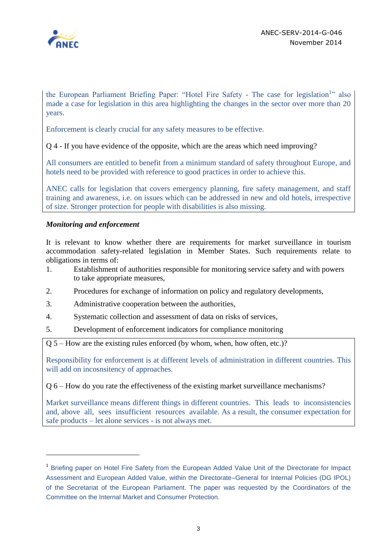

the European Parliament Briefing Paper: "Hotel Fire Safety - The case for legislation<sup>1</sup>" also made a case for legislation in this area highlighting the changes in the sector over more than 20 years.

Enforcement is clearly crucial for any safety measures to be effective.

Q 4 - If you have evidence of the opposite, which are the areas which need improving?

All consumers are entitled to benefit from a minimum standard of safety throughout Europe, and hotels need to be provided with reference to good practices in order to achieve this.

ANEC calls for legislation that covers emergency planning, fire safety management, and staff training and awareness, i.e. on issues which can be addressed in new and old hotels, irrespective of size. Stronger protection for people with disabilities is also missing.

### *Monitoring and enforcement*

 $\overline{a}$ 

It is relevant to know whether there are requirements for market surveillance in tourism accommodation safety-related legislation in Member States. Such requirements relate to obligations in terms of:

- 1. Establishment of authorities responsible for monitoring service safety and with powers to take appropriate measures,
- 2. Procedures for exchange of information on policy and regulatory developments,
- 3. Administrative cooperation between the authorities,
- 4. Systematic collection and assessment of data on risks of services,
- 5. Development of enforcement indicators for compliance monitoring

Q 5 – How are the existing rules enforced (by whom, when, how often, etc.)?

Responsibility for enforcement is at different levels of administration in different countries. This will add on incosnsitency of approaches.

Q 6 – How do you rate the effectiveness of the existing market surveillance mechanisms?

Market surveillance means different things in different countries. This leads to inconsistencies and, above all, sees insufficient resources available. As a result, the consumer expectation for safe products – let alone services - is not always met.

<sup>&</sup>lt;sup>1</sup> Briefing paper on Hotel Fire Safety from the European Added Value Unit of the Directorate for Impact Assessment and European Added Value, within the Directorate–General for Internal Policies (DG IPOL) of the Secretariat of the European Parliament. The paper was requested by the Coordinators of the Committee on the Internal Market and Consumer Protection.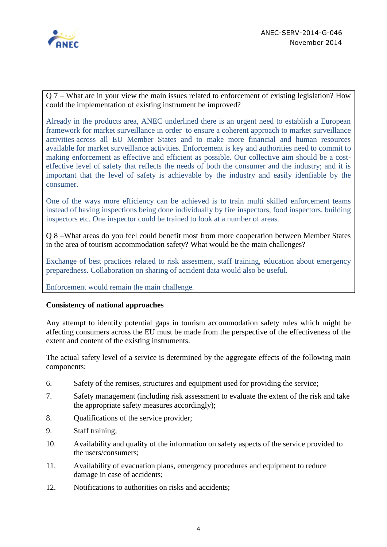

Q 7 – What are in your view the main issues related to enforcement of existing legislation? How could the implementation of existing instrument be improved?

Already in the products area, ANEC underlined there is an urgent need to establish a European framework for market surveillance in order to ensure a coherent approach to market surveillance activities across all EU Member States and to make more financial and human resources available for market surveillance activities. Enforcement is key and authorities need to commit to making enforcement as effective and efficient as possible. Our collective aim should be a costeffective level of safety that reflects the needs of both the consumer and the industry; and it is important that the level of safety is achievable by the industry and easily idenfiable by the consumer.

One of the ways more efficiency can be achieved is to train multi skilled enforcement teams instead of having inspections being done individually by fire inspectors, food inspectors, building inspectors etc. One inspector could be trained to look at a number of areas.

Q 8 –What areas do you feel could benefit most from more cooperation between Member States in the area of tourism accommodation safety? What would be the main challenges?

Exchange of best practices related to risk assesment, staff training, education about emergency preparedness. Collaboration on sharing of accident data would also be useful.

Enforcement would remain the main challenge.

### **Consistency of national approaches**

Any attempt to identify potential gaps in tourism accommodation safety rules which might be affecting consumers across the EU must be made from the perspective of the effectiveness of the extent and content of the existing instruments.

The actual safety level of a service is determined by the aggregate effects of the following main components:

- 6. Safety of the remises, structures and equipment used for providing the service;
- 7. Safety management (including risk assessment to evaluate the extent of the risk and take the appropriate safety measures accordingly);
- 8. Qualifications of the service provider;
- 9. Staff training;
- 10. Availability and quality of the information on safety aspects of the service provided to the users/consumers;
- 11. Availability of evacuation plans, emergency procedures and equipment to reduce damage in case of accidents;
- 12. Notifications to authorities on risks and accidents;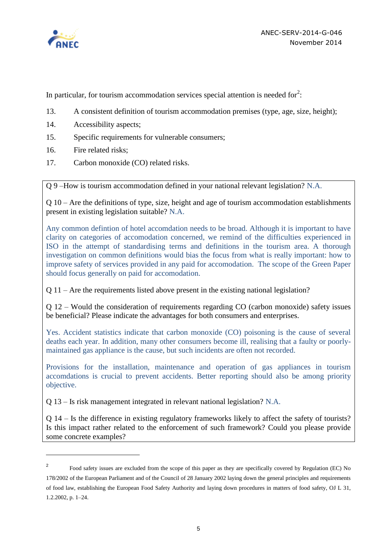

 $\overline{a}$ 

In particular, for tourism accommodation services special attention is needed for<sup>2</sup>:

- 13. A consistent definition of tourism accommodation premises (type, age, size, height);
- 14. Accessibility aspects;
- 15. Specific requirements for vulnerable consumers;
- 16. Fire related risks;
- 17. Carbon monoxide (CO) related risks.

Q 9 –How is tourism accommodation defined in your national relevant legislation? N.A.

Q 10 – Are the definitions of type, size, height and age of tourism accommodation establishments present in existing legislation suitable? N.A.

Any common defintion of hotel accomdation needs to be broad. Although it is important to have clarity on categories of accomodation concerned, we remind of the difficulties experienced in ISO in the attempt of standardising terms and definitions in the tourism area. A thorough investigation on common definitions would bias the focus from what is really important: how to improve safety of services provided in any paid for accomodation. The scope of the Green Paper should focus generally on paid for accomodation.

Q 11 – Are the requirements listed above present in the existing national legislation?

Q 12 – Would the consideration of requirements regarding CO (carbon monoxide) safety issues be beneficial? Please indicate the advantages for both consumers and enterprises.

Yes. Accident statistics indicate that carbon monoxide (CO) poisoning is the cause of several deaths each year. In addition, many other consumers become ill, realising that a faulty or poorlymaintained gas appliance is the cause, but such incidents are often not recorded.

Provisions for the installation, maintenance and operation of gas appliances in tourism accomdations is crucial to prevent accidents. Better reporting should also be among priority objective.

Q 13 – Is risk management integrated in relevant national legislation? N.A.

Q 14 – Is the difference in existing regulatory frameworks likely to affect the safety of tourists? Is this impact rather related to the enforcement of such framework? Could you please provide some concrete examples?

<sup>2</sup> Food safety issues are excluded from the scope of this paper as they are specifically covered by Regulation (EC) No 178/2002 of the European Parliament and of the Council of 28 January 2002 laying down the general principles and requirements of food law, establishing the European Food Safety Authority and laying down procedures in matters of food safety, OJ L 31, 1.2.2002, p. 1–24.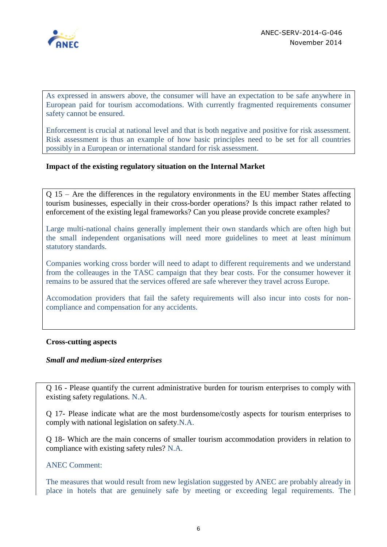

As expressed in answers above, the consumer will have an expectation to be safe anywhere in European paid for tourism accomodations. With currently fragmented requirements consumer safety cannot be ensured.

Enforcement is crucial at national level and that is both negative and positive for risk assessment. Risk assessment is thus an example of how basic principles need to be set for all countries possibly in a European or international standard for risk assessment.

### **Impact of the existing regulatory situation on the Internal Market**

Q 15 – Are the differences in the regulatory environments in the EU member States affecting tourism businesses, especially in their cross-border operations? Is this impact rather related to enforcement of the existing legal frameworks? Can you please provide concrete examples?

Large multi-national chains generally implement their own standards which are often high but the small independent organisations will need more guidelines to meet at least minimum statutory standards.

Companies working cross border will need to adapt to different requirements and we understand from the colleauges in the TASC campaign that they bear costs. For the consumer however it remains to be assured that the services offered are safe wherever they travel across Europe.

Accomodation providers that fail the safety requirements will also incur into costs for noncompliance and compensation for any accidents.

### **Cross-cutting aspects**

### *Small and medium-sized enterprises*

Q 16 - Please quantify the current administrative burden for tourism enterprises to comply with existing safety regulations. N.A.

Q 17- Please indicate what are the most burdensome/costly aspects for tourism enterprises to comply with national legislation on safety.N.A.

Q 18- Which are the main concerns of smaller tourism accommodation providers in relation to compliance with existing safety rules? N.A.

#### ANEC Comment:

The measures that would result from new legislation suggested by ANEC are probably already in place in hotels that are genuinely safe by meeting or exceeding legal requirements. The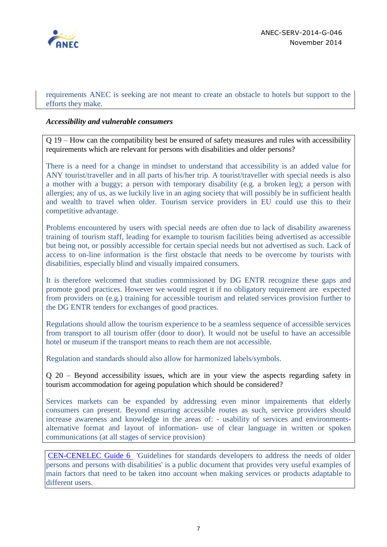

requirements ANEC is seeking are not meant to create an obstacle to hotels but support to the efforts they make.

### *Accessibility and vulnerable consumers*

Q 19 – How can the compatibility best be ensured of safety measures and rules with accessibility requirements which are relevant for persons with disabilities and older persons?

There is a need for a change in mindset to understand that accessibility is an added value for ANY tourist/traveller and in all parts of his/her trip. A tourist/traveller with special needs is also a mother with a buggy; a person with temporary disability (e.g. a broken leg); a person with allergies; any of us, as we luckily live in an aging society that will possibly be in sufficient health and wealth to travel when older. Tourism service providers in EU could use this to their competitive advantage.

Problems encountered by users with special needs are often due to lack of disability awareness training of tourism staff, leading for example to tourism facilities being advertised as accessible but being not, or possibly accessible for certain special needs but not advertised as such. Lack of access to on-line information is the first obstacle that needs to be overcome by tourists with disabilities, especially blind and visually impaired consumers.

It is therefore welcomed that studies commissioned by DG ENTR recognize these gaps and promote good practices. However we would regret it if no obligatory requirement are expected from providers on (e.g.) training for accessible tourism and related services provision further to the DG ENTR tenders for exchanges of good practices.

Regulations should allow the tourism experience to be a seamless sequence of accessible services from transport to all tourism offer (door to door). It would not be useful to have an accessible hotel or museum if the transport means to reach them are not accessible.

Regulation and standards should also allow for harmonized labels/symbols.

Q 20 – Beyond accessibility issues, which are in your view the aspects regarding safety in tourism accommodation for ageing population which should be considered?

Services markets can be expanded by addressing even minor impairements that elderly consumers can present. Beyond ensuring accessible routes as such, service providers should increase awareness and knowledge in the areas of: - usability of services and environmentsalternative format and layout of information- use of clear language in written or spoken communications (at all stages of service provision)

[CEN-CENELEC Guide 6](ftp://ftp.cencenelec.eu/EN/EuropeanStandardization/Guides/6_CENCLCGuide6.pdf) 'Guidelines for standards developers to address the needs of older persons and persons with disabilities' is a public document that provides very useful examples of main factors that need to be taken itno account when making services or products adaptable to different users.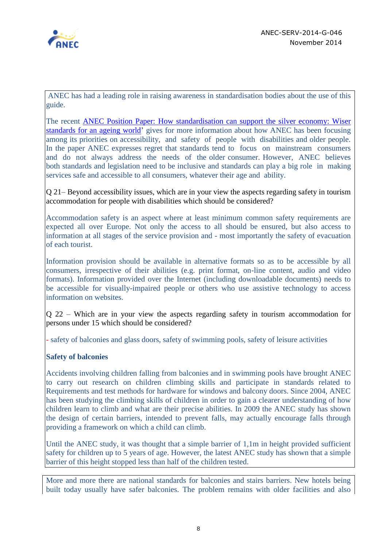

ANEC has had a leading role in raising awareness in standardisation bodies about the use of this guide.

The recent ANEC Position Paper: [How standardisation can support the silver economy: Wiser](http://www.anec.eu/attachments/ANEC-DFA-2014-G-021.pdf)  [standards for an ageing world'](http://www.anec.eu/attachments/ANEC-DFA-2014-G-021.pdf) gives for more information about how ANEC has been focusing among its priorities on accessibility, and safety of people with disabilities and older people. In the paper ANEC expresses regret that standards tend to focus on mainstream consumers and do not always address the needs of the older consumer. However, ANEC believes both standards and legislation need to be inclusive and standards can play a big role in making services safe and accessible to all consumers, whatever their age and ability.

Q 21– Beyond accessibility issues, which are in your view the aspects regarding safety in tourism accommodation for people with disabilities which should be considered?

Accommodation safety is an aspect where at least minimum common safety requirements are expected all over Europe. Not only the access to all should be ensured, but also access to information at all stages of the service provision and - most importantly the safety of evacuation of each tourist.

Information provision should be available in alternative formats so as to be accessible by all consumers, irrespective of their abilities (e.g. print format, on-line content, audio and video formats). Information provided over the Internet (including downloadable documents) needs to be accessible for visually-impaired people or others who use assistive technology to access information on websites.

Q 22 – Which are in your view the aspects regarding safety in tourism accommodation for persons under 15 which should be considered?

- safety of balconies and glass doors, safety of swimming pools, safety of leisure activities

# **Safety of balconies**

Accidents involving children falling from balconies and in swimming pools have brought ANEC to carry out research on children climbing skills and participate in standards related to Requirements and test methods for hardware for windows and balcony doors. Since 2004, ANEC has been studying the climbing skills of children in order to gain a clearer understanding of how children learn to climb and what are their precise abilities. In 2009 the ANEC study has shown the design of certain barriers, intended to prevent falls, may actually encourage falls through providing a framework on which a child can climb.

Until the ANEC study, it was thought that a simple barrier of 1,1m in height provided sufficient safety for children up to 5 years of age. However, the latest ANEC study has shown that a simple barrier of this height stopped less than half of the children tested.

More and more there are national standards for balconies and stairs barriers. New hotels being built today usually have safer balconies. The problem remains with older facilities and also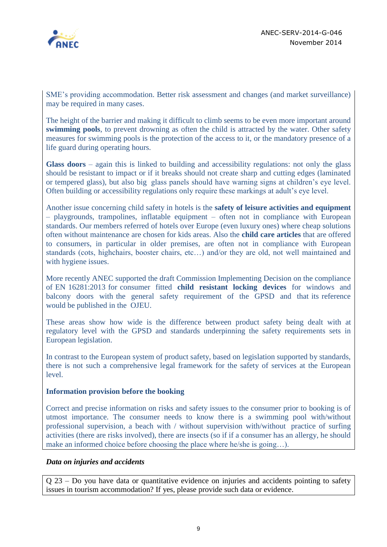

SME's providing accommodation. Better risk assessment and changes (and market surveillance) may be required in many cases.

The height of the barrier and making it difficult to climb seems to be even more important around **swimming pools**, to prevent drowning as often the child is attracted by the water. Other safety measures for swimming pools is the protection of the access to it, or the mandatory presence of a life guard during operating hours.

**Glass doors** – again this is linked to building and accessibility regulations: not only the glass should be resistant to impact or if it breaks should not create sharp and cutting edges (laminated or tempered glass), but also big glass panels should have warning signs at children's eye level. Often building or accessibility regulations only require these markings at adult's eye level.

Another issue concerning child safety in hotels is the **safety of leisure activities and equipment** – playgrounds, trampolines, inflatable equipment – often not in compliance with European standards. Our members referred of hotels over Europe (even luxury ones) where cheap solutions often without maintenance are chosen for kids areas. Also the **child care articles** that are offered to consumers, in particular in older premises, are often not in compliance with European standards (cots, highchairs, booster chairs, etc…) and/or they are old, not well maintained and with hygiene issues.

More recently ANEC supported the draft Commission Implementing Decision on the compliance of EN 16281:2013 for consumer fitted **child resistant locking devices** for windows and balcony doors with the general safety requirement of the GPSD and that its reference would be published in the OJEU.

These areas show how wide is the difference between product safety being dealt with at regulatory level with the GPSD and standards underpinning the safety requirements sets in European legislation.

In contrast to the European system of product safety, based on legislation supported by standards, there is not such a comprehensive legal framework for the safety of services at the European level.

### **Information provision before the booking**

Correct and precise information on risks and safety issues to the consumer prior to booking is of utmost importance. The consumer needs to know there is a swimming pool with/without professional supervision, a beach with / without supervision with/without practice of surfing activities (there are risks involved), there are insects (so if if a consumer has an allergy, he should make an informed choice before choosing the place where he/she is going…).

# *Data on injuries and accidents*

Q 23 – Do you have data or quantitative evidence on injuries and accidents pointing to safety issues in tourism accommodation? If yes, please provide such data or evidence.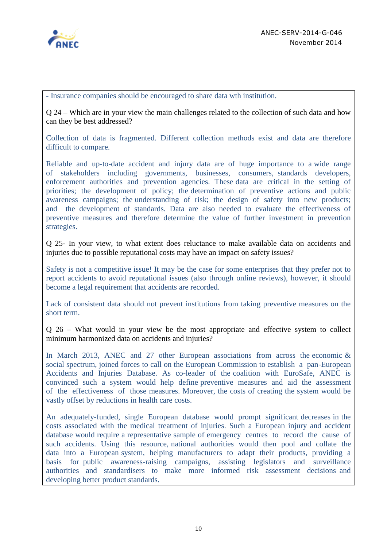

- Insurance companies should be encouraged to share data wth institution.

Q 24 – Which are in your view the main challenges related to the collection of such data and how can they be best addressed?

Collection of data is fragmented. Different collection methods exist and data are therefore difficult to compare.

Reliable and up-to-date accident and injury data are of huge importance to a wide range of stakeholders including governments, businesses, consumers, standards developers, enforcement authorities and prevention agencies. These data are critical in the setting of priorities; the development of policy; the determination of preventive actions and public awareness campaigns; the understanding of risk; the design of safety into new products; and the development of standards. Data are also needed to evaluate the effectiveness of preventive measures and therefore determine the value of further investment in prevention strategies.

Q 25- In your view, to what extent does reluctance to make available data on accidents and injuries due to possible reputational costs may have an impact on safety issues?

Safety is not a competitive issue! It may be the case for some enterprises that they prefer not to report accidents to avoid reputational issues (also through online reviews), however, it should become a legal requirement that accidents are recorded.

Lack of consistent data should not prevent institutions from taking preventive measures on the short term.

Q 26 – What would in your view be the most appropriate and effective system to collect minimum harmonized data on accidents and injuries?

In March 2013, ANEC and 27 other European associations from across the economic & social spectrum, joined forces to call on the European Commission to establish a pan-European Accidents and Injuries Database. As co-leader of the coalition with EuroSafe, ANEC is convinced such a system would help define preventive measures and aid the assessment of the effectiveness of those measures. Moreover, the costs of creating the system would be vastly offset by reductions in health care costs.

An adequately-funded, single European database would prompt significant decreases in the costs associated with the medical treatment of injuries. Such a European injury and accident database would require a representative sample of emergency centres to record the cause of such accidents. Using this resource, national authorities would then pool and collate the data into a European system, helping manufacturers to adapt their products, providing a basis for public awareness-raising campaigns, assisting legislators and surveillance authorities and standardisers to make more informed risk assessment decisions and developing better product standards.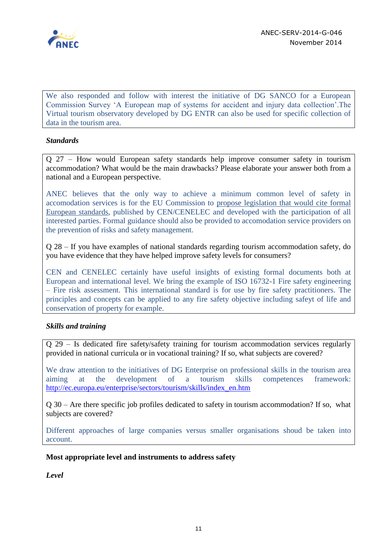

We also responded and follow with interest the initiative of DG SANCO for a European Commission Survey 'A European map of systems for accident and injury data collection'.The Virtual tourism observatory developed by DG ENTR can also be used for specific collection of data in the tourism area.

# *Standards*

Q 27 – How would European safety standards help improve consumer safety in tourism accommodation? What would be the main drawbacks? Please elaborate your answer both from a national and a European perspective.

ANEC believes that the only way to achieve a minimum common level of safety in accomodation services is for the EU Commission to propose legislation that would cite formal European standards, published by CEN/CENELEC and developed with the participation of all interested parties. Formal guidance should also be provided to accomodation service providers on the prevention of risks and safety management.

Q 28 – If you have examples of national standards regarding tourism accommodation safety, do you have evidence that they have helped improve safety levels for consumers?

CEN and CENELEC certainly have useful insights of existing formal documents both at European and international level. We bring the example of ISO 16732-1 Fire safety engineering – Fire risk assessment. This international standard is for use by fire safety practitioners. The principles and concepts can be applied to any fire safety objective including safeyt of life and conservation of property for example.

# *Skills and training*

Q 29 – Is dedicated fire safety/safety training for tourism accommodation services regularly provided in national curricula or in vocational training? If so, what subjects are covered?

We draw attention to the initiatives of DG Enterprise on professional skills in the tourism area aiming at the development of a tourism skills competences framework: [http://ec.europa.eu/enterprise/sectors/tourism/skills/index\\_en.htm](http://ec.europa.eu/enterprise/sectors/tourism/skills/index_en.htm)

Q 30 – Are there specific job profiles dedicated to safety in tourism accommodation? If so, what subjects are covered?

Different approaches of large companies versus smaller organisations shoud be taken into account.

### **Most appropriate level and instruments to address safety**

*Level*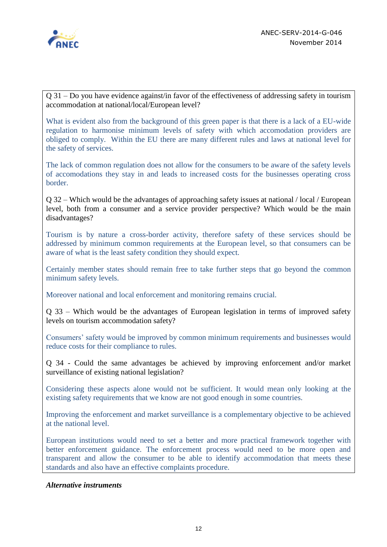

Q 31 – Do you have evidence against/in favor of the effectiveness of addressing safety in tourism accommodation at national/local/European level?

What is evident also from the background of this green paper is that there is a lack of a EU-wide regulation to harmonise minimum levels of safety with which accomodation providers are obliged to comply. Within the EU there are many different rules and laws at national level for the safety of services.

The lack of common regulation does not allow for the consumers to be aware of the safety levels of accomodations they stay in and leads to increased costs for the businesses operating cross border.

Q 32 – Which would be the advantages of approaching safety issues at national / local / European level, both from a consumer and a service provider perspective? Which would be the main disadvantages?

Tourism is by nature a cross-border activity, therefore safety of these services should be addressed by minimum common requirements at the European level, so that consumers can be aware of what is the least safety condition they should expect.

Certainly member states should remain free to take further steps that go beyond the common minimum safety levels.

Moreover national and local enforcement and monitoring remains crucial.

Q 33 – Which would be the advantages of European legislation in terms of improved safety levels on tourism accommodation safety?

Consumers' safety would be improved by common minimum requirements and businesses would reduce costs for their compliance to rules.

Q 34 - Could the same advantages be achieved by improving enforcement and/or market surveillance of existing national legislation?

Considering these aspects alone would not be sufficient. It would mean only looking at the existing safety requirements that we know are not good enough in some countries.

Improving the enforcement and market surveillance is a complementary objective to be achieved at the national level.

European institutions would need to set a better and more practical framework together with better enforcement guidance. The enforcement process would need to be more open and transparent and allow the consumer to be able to identify accommodation that meets these standards and also have an effective complaints procedure.

# *Alternative instruments*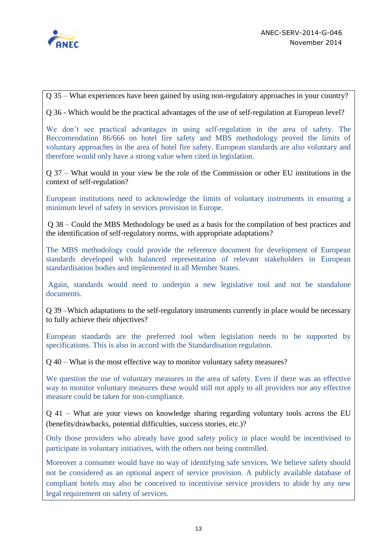

Q 35 – What experiences have been gained by using non-regulatory approaches in your country?

Q 36 - Which would be the practical advantages of the use of self-regulation at European level?

We don't see practical advantages in using self-regulation in the area of safety. The Reccomendation 86/666 on hotel fire safety and MBS methodology proved the limits of voluntary approaches in the area of hotel fire safety. European standards are also voluntary and therefore would only have a strong value when cited in legislation.

Q 37 – What would in your view be the role of the Commission or other EU institutions in the context of self-regulation?

European institutions need to acknowledge the limits of voluntary instruments in ensuring a minimum level of safety in services provision in Europe.

Q 38 – Could the MBS Methodology be used as a basis for the compilation of best practices and the identification of self-regulatory norms, with appropriate adaptations?

The MBS methodology could provide the reference document for development of European standards developed with balanced representation of relevant stakeholders in European standardisation bodies and implemented in all Member States.

Again, standards would need to underpin a new legislative tool and not be standalone documents.

Q 39 –Which adaptations to the self-regulatory instruments currently in place would be necessary to fully achieve their objectives?

European standards are the preferred tool when legislation needs to be supported by specifications. This is also in accord with the Standardisation regulation.

Q 40 – What is the most effective way to monitor voluntary safety measures?

We question the use of voluntary measures in the area of safety. Even if there was an effective way to monitor voluntary measures these would still not apply to all providers nor any effective measure could be taken for non-compliance.

Q 41 – What are your views on knowledge sharing regarding voluntary tools across the EU (benefits/drawbacks, potential difficulties, success stories, etc.)?

Only those providers who already have good safety policy in place would be incentivised to participate in voluntary initiatives, with the others not being controlled.

Moreover a consumer would have no way of identifying safe services. We believe safety should not be considered as an optional aspect of service provision. A publicly available database of compliant hotels may also be conceived to incentivise service providers to abide by any new legal requirement on safety of services.